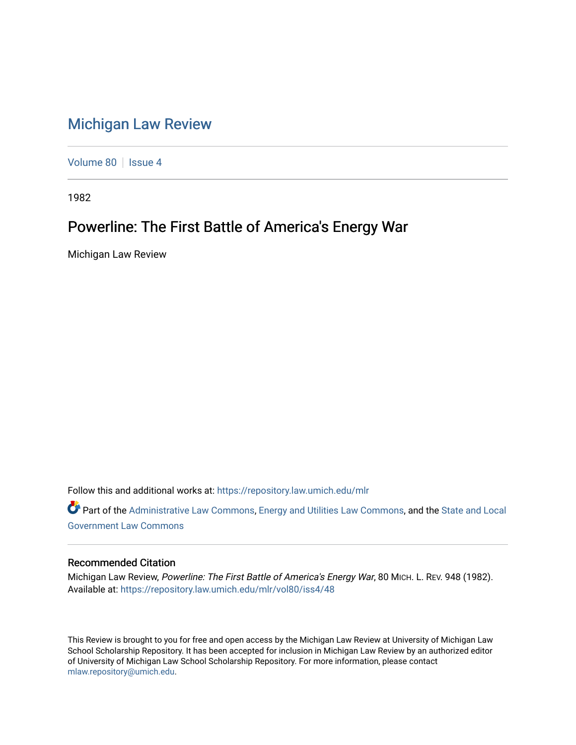## [Michigan Law Review](https://repository.law.umich.edu/mlr)

[Volume 80](https://repository.law.umich.edu/mlr/vol80) | [Issue 4](https://repository.law.umich.edu/mlr/vol80/iss4)

1982

## Powerline: The First Battle of America's Energy War

Michigan Law Review

Follow this and additional works at: [https://repository.law.umich.edu/mlr](https://repository.law.umich.edu/mlr?utm_source=repository.law.umich.edu%2Fmlr%2Fvol80%2Fiss4%2F48&utm_medium=PDF&utm_campaign=PDFCoverPages) 

Part of the [Administrative Law Commons,](http://network.bepress.com/hgg/discipline/579?utm_source=repository.law.umich.edu%2Fmlr%2Fvol80%2Fiss4%2F48&utm_medium=PDF&utm_campaign=PDFCoverPages) [Energy and Utilities Law Commons](http://network.bepress.com/hgg/discipline/891?utm_source=repository.law.umich.edu%2Fmlr%2Fvol80%2Fiss4%2F48&utm_medium=PDF&utm_campaign=PDFCoverPages), and the [State and Local](http://network.bepress.com/hgg/discipline/879?utm_source=repository.law.umich.edu%2Fmlr%2Fvol80%2Fiss4%2F48&utm_medium=PDF&utm_campaign=PDFCoverPages) [Government Law Commons](http://network.bepress.com/hgg/discipline/879?utm_source=repository.law.umich.edu%2Fmlr%2Fvol80%2Fiss4%2F48&utm_medium=PDF&utm_campaign=PDFCoverPages) 

## Recommended Citation

Michigan Law Review, Powerline: The First Battle of America's Energy War, 80 MICH. L. REV. 948 (1982). Available at: [https://repository.law.umich.edu/mlr/vol80/iss4/48](https://repository.law.umich.edu/mlr/vol80/iss4/48?utm_source=repository.law.umich.edu%2Fmlr%2Fvol80%2Fiss4%2F48&utm_medium=PDF&utm_campaign=PDFCoverPages) 

This Review is brought to you for free and open access by the Michigan Law Review at University of Michigan Law School Scholarship Repository. It has been accepted for inclusion in Michigan Law Review by an authorized editor of University of Michigan Law School Scholarship Repository. For more information, please contact [mlaw.repository@umich.edu.](mailto:mlaw.repository@umich.edu)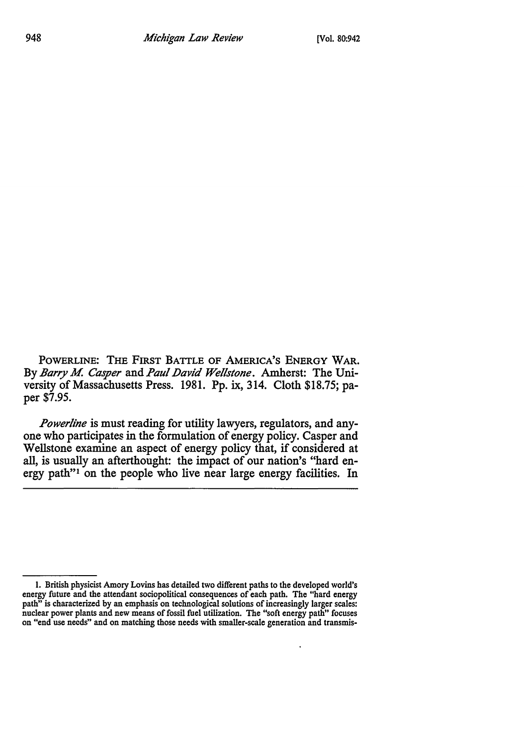POWERLINE: THE FIRST BATTLE OF AMERICA'S ENERGY **WAR.**  By *Barry M. Casper* and *Paul David Wellstone*. Amherst: The University of Massachusetts Press. 1981. Pp. ix, 314. Cloth \$18.75; paper \$7.95.

*Power/ine* is must reading for utility lawyers, regulators, and anyone who participates in the formulation of energy policy. Casper and Wellstone examine an aspect of energy policy that, if considered at all, is usually an afterthought: the impact of our nation's "hard energy path"1 on the people who live near large energy facilities. In

<sup>1.</sup> British physicist Amory Lovins has detailed two different paths to the developed world's energy future and the attendant sociopolitical consequences of each path. The "hard energy path" is characterized by an emphasis on technological solutions of increasingly larger scales: nuclear power plants and new means of fossil fuel utilization. The "soft energy path" focuses on "end use needs" and on matching those needs with smaller-scale generation and transmis-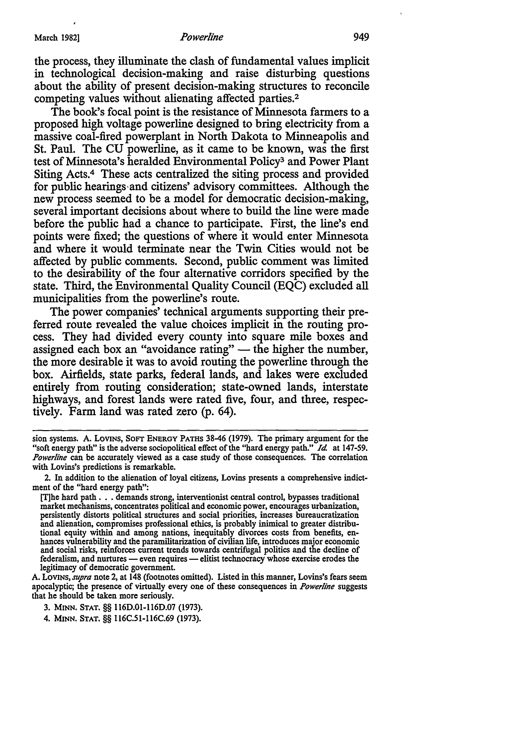the process, they illuminate the clash of fundamental values implicit in technological decision-making and raise disturbing questions about the ability of present decision-making structures to reconcile competing values without alienating affected parties.<sup>2</sup>

The book's focal point is the resistance of Minnesota farmers to a proposed high voltage powerline designed to bring electricity from a massive coal-fired powerplant in North Dakota to Minneapolis and St. Paul. The CU powerline, as it came to be known, was the first test of Minnesota's heralded Environmental Policy3 and Power Plant Siting Acts.4 These acts centralized the siting process and provided for public hearings-and citizens' advisory committees. Although the new process seemed to be a model for democratic decision-making, several important decisions about where to build the line were made before the public had a chance to participate. First, the line's end points were fixed; the questions of where it would enter Minnesota and where it would terminate near the Twin Cities would not be affected by public comments. Second, public comment was limited to the desirability of the four alternative corridors specified by the state. Third, the Environmental Quality Council (EQC) excluded all municipalities from the powerline's route.

The power companies' technical arguments supporting their preferred route revealed the value choices implicit in the routing process. They had divided every county into square mile boxes and assigned each box an "avoidance rating"  $-$  the higher the number, the more desirable it was to avoid routing the powerline through the box. Airfields, state parks, federal lands, and lakes were excluded entirely from routing consideration; state-owned lands, interstate highways, and forest lands were rated five, four, and three, respectively. Farm land was rated zero (p. 64).

sion systems. A. LOVINS, SOFT ENERGY PATHS 38-46 (1979). The primary argument for the "soft energy path" is the adverse sociopolitical effect of the "hard energy path." *Id* at 147-59. *Powerline* can be accurately viewed as a case study of those consequences. The correlation with Lovins's predictions is remarkable.

<sup>2.</sup> In addition to the alienation of loyal citizens, Lovins presents a comprehensive indictment of the "hard energy path":

<sup>[</sup>T)he hard path . . . demands strong, interventionist central control, bypasses traditional market mechanisms, concentrates political and economic power, encourages urbanization, persistently distorts political structures and social priorities, increases bureaucratization and alienation, compromises professional ethics, is probably inimical to greater distributional equity within and among nations, inequitably divorces costs from benefits, enhances vulnerability and the paramilitarization of civilian life, introduces major economic and social risks, reinforces current trends towards centrifugal politics and the decline of federalism, and nurtures — even requires — elitist technocracy whose exercise erodes the legitimacy of democratic government.

A. LOVINS, *supra* note 2, at 148 (footnotes omitted). Listed in this manner, Lovins's fears seem apocalyptic; the presence of virtually every one of these consequences in *Powerline* suggests that he should be taken more seriously.

<sup>3.</sup> MINN. STAT.§§ 116D.O1-116D.O7 (1973).

<sup>4.</sup> MINN. STAT,§§ 116C.51-116C.69 (1973).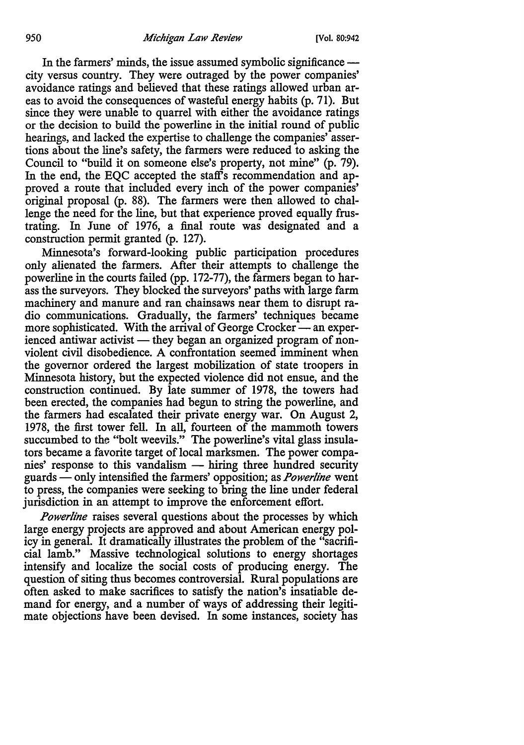In the farmers' minds, the issue assumed symbolic significance city versus country. They were outraged by the power companies' avoidance ratings and believed that these ratings allowed urban areas to avoid the consequences of wasteful energy habits (p. 71). But since they were unable to quarrel with either the avoidance ratings or the decision to build the powerline in the initial round of public hearings, and lacked the expertise to challenge the companies' assertions about the line's safety, the farmers were reduced to asking the Council to "build it on someone else's property, not mine" (p. 79). In the end, the EQC accepted the staff's recommendation and approved a route that included every inch of the power companies' original proposal (p. 88). The farmers were then allowed to challenge the need for the line, but that experience proved equally frustrating. In June of 1976, a final route was designated and a construction permit granted (p. 127).

Minnesota's forward-looking public participation procedures only alienated the farmers. After their attempts to challenge the powerline in the courts failed (pp. 172-77), the farmers began to harass the surveyors. They blocked the surveyors' paths with large farm machinery and manure and ran chainsaws near them to disrupt radio communications. Gradually, the farmers' techniques became more sophisticated. With the arrival of George Crocker — an experienced antiwar activist — they began an organized program of nonviolent civil disobedience. A confrontation seemed imminent when the governor ordered the largest mobilization of state troopers in Minnesota history, but the expected violence did not ensue, and the construction continued. By late summer of 1978, the towers had been erected, the companies had begun to string the powerline, and the farmers had escalated their private energy war. On August 2, 1978, the first tower fell. In all, fourteen of the mammoth towers succumbed to the "bolt weevils." The powerline's vital glass insulators became a favorite target of local marksmen. The power companies' response to this vandalism  $-$  hiring three hundred security guards - only intensified the farmers' opposition; as *Power/ine* went to press, the companies were seeking to bring the line under federal jurisdiction in an attempt to improve the enforcement effort.

*Powerline* raises several questions about the processes by which large energy projects are approved and about American energy policy in general. It dramatically illustrates the problem of the "sacrificial lamb." Massive technological solutions to energy shortages intensify and localize the social costs of producing energy. The question of siting thus becomes controversial. Rural populations are often asked to make sacrifices to satisfy the nation's insatiable demand for energy, and a number of ways of addressing their legitimate objections have been devised. In some instances, society has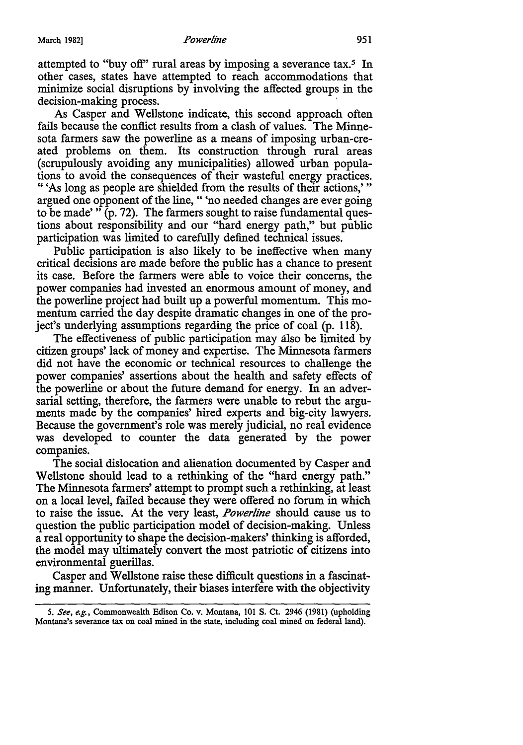attempted to "buy off" rural areas by imposing a severance tax.<sup>5</sup> In other cases, states have attempted to reach accommodations that minimize social disruptions by involving the affected groups in the decision-making process.

As Casper and Wellstone indicate, this second approach often fails because the conflict results from a clash of values. The **Minne**sota farmers saw the powerline as a means of imposing urban-created problems on them. Its construction through rural areas (scrupulously avoiding any municipalities) allowed urban populations to avoid the consequences of their wasteful energy practices. " 'As long as people are shielded from the results of their actions,' "

argued one opponent of the line, " 'no needed changes are ever going to be made' " (p. 72). The farmers sought to raise fundamental questions about responsibility and our "hard energy path,'' but public participation was limited to carefully defined technical issues.

Public participation is also likely to be ineffective when many critical decisions are made before the public has a chance to present its case. Before the farmers were able to voice their concerns, the power companies had invested an enormous amount of money, and the powerline project had built up a powerful momentum. This momentum carried the day despite dramatic changes in one of the project's underlying assumptions regarding the price of coal (p. 118).

The effectiveness of public participation may also be limited by citizen groups' lack of money and expertise. The Minnesota farmers did not have the economic or technical resources to challenge the power companies' assertions about the health and safety effects of the powerline or about the future demand for energy. In an adversarial setting, therefore, the farmers were unable to rebut the arguments made by the companies' hired experts and big-city lawyers. Because the government's role was merely judicial, no real evidence was developed to counter the data generated by the power companies.

The social dislocation and alienation documented by Casper and Wellstone should lead to a rethinking of the "hard energy path." The Minnesota farmers' attempt to prompt such a rethinking, at least on a local level, failed because they were offered no forum in which to raise the issue. At the very least, *Powerline* should cause us to question the public participation model of decision-making. Unless a real opportunity to shape the decision-makers' thinking is afforded, the model may ultimately convert the most patriotic of citizens into environmental guerillas.

Casper and Wellstone raise these difficult questions in a fascinating manner. Unfortunately, their biases interfere with the objectivity

*<sup>5.</sup> See, e.g.,* Commonwealth Edison Co. v. Montana, 101 S. Ct. 2946 (1981) (upholding Montana's severance tax on coal mined in the state, including coal mined on federal land).